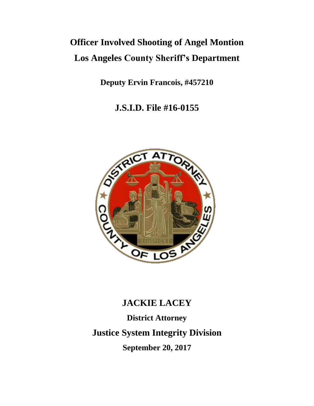# **Officer Involved Shooting of Angel Montion Los Angeles County Sheriff's Department**

**Deputy Ervin Francois, #457210**

**J.S.I.D. File #16-0155**



# **JACKIE LACEY**

**District Attorney Justice System Integrity Division September 20, 2017**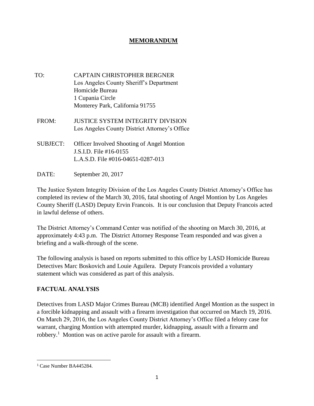# **MEMORANDUM**

- TO: CAPTAIN CHRISTOPHER BERGNER Los Angeles County Sheriff's Department Homicide Bureau 1 Cupania Circle Monterey Park, California 91755
- FROM: JUSTICE SYSTEM INTEGRITY DIVISION Los Angeles County District Attorney's Office
- SUBJECT: Officer Involved Shooting of Angel Montion J.S.I.D. File #16-0155 L.A.S.D. File #016-04651-0287-013
- DATE: September 20, 2017

The Justice System Integrity Division of the Los Angeles County District Attorney's Office has completed its review of the March 30, 2016, fatal shooting of Angel Montion by Los Angeles County Sheriff (LASD) Deputy Ervin Francois. It is our conclusion that Deputy Francois acted in lawful defense of others.

The District Attorney's Command Center was notified of the shooting on March 30, 2016, at approximately 4:43 p.m. The District Attorney Response Team responded and was given a briefing and a walk-through of the scene.

The following analysis is based on reports submitted to this office by LASD Homicide Bureau Detectives Marc Boskovich and Louie Aguilera. Deputy Francois provided a voluntary statement which was considered as part of this analysis.

## **FACTUAL ANALYSIS**

Detectives from LASD Major Crimes Bureau (MCB) identified Angel Montion as the suspect in a forcible kidnapping and assault with a firearm investigation that occurred on March 19, 2016. On March 29, 2016, the Los Angeles County District Attorney's Office filed a felony case for warrant, charging Montion with attempted murder, kidnapping, assault with a firearm and robbery.<sup>1</sup> Montion was on active parole for assault with a firearm.

<sup>1</sup> Case Number BA445284.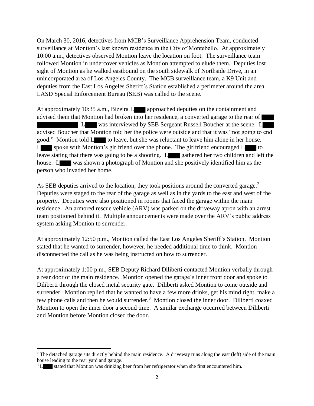On March 30, 2016, detectives from MCB's Surveillance Apprehension Team, conducted surveillance at Montion's last known residence in the City of Montebello. At approximately 10:00 a.m., detectives observed Montion leave the location on foot. The surveillance team followed Montion in undercover vehicles as Montion attempted to elude them. Deputies lost sight of Montion as he walked eastbound on the south sidewalk of Northside Drive, in an unincorporated area of Los Angeles County. The MCB surveillance team, a K9 Unit and deputies from the East Los Angeles Sheriff's Station established a perimeter around the area. LASD Special Enforcement Bureau (SEB) was called to the scene.

At approximately 10:35 a.m., Bizeira L approached deputies on the containment and advised them that Montion had broken into her residence, a converted garage to the rear of L was interviewed by SEB Sergeant Russell Boucher at the scene. L advised Boucher that Montion told her the police were outside and that it was "not going to end good." Montion told L to leave, but she was reluctant to leave him alone in her house. L spoke with Montion's girlfriend over the phone. The girlfriend encouraged  $L$  to leave stating that there was going to be a shooting. L gathered her two children and left the house. L was shown a photograph of Montion and she positively identified him as the person who invaded her home.

As SEB deputies arrived to the location, they took positions around the converted garage.<sup>2</sup> Deputies were staged to the rear of the garage as well as in the yards to the east and west of the property. Deputies were also positioned in rooms that faced the garage within the main residence. An armored rescue vehicle (ARV) was parked on the driveway apron with an arrest team positioned behind it. Multiple announcements were made over the ARV's public address system asking Montion to surrender.

At approximately 12:50 p.m., Montion called the East Los Angeles Sheriff's Station. Montion stated that he wanted to surrender, however, he needed additional time to think. Montion disconnected the call as he was being instructed on how to surrender.

At approximately 1:00 p.m., SEB Deputy Richard Diliberti contacted Montion verbally through a rear door of the main residence. Montion opened the garage's inner front door and spoke to Diliberti through the closed metal security gate. Diliberti asked Montion to come outside and surrender. Montion replied that he wanted to have a few more drinks, get his mind right, make a few phone calls and then he would surrender.<sup>3</sup> Montion closed the inner door. Diliberti coaxed Montion to open the inner door a second time. A similar exchange occurred between Diliberti and Montion before Montion closed the door.

<sup>&</sup>lt;sup>2</sup> The detached garage sits directly behind the main residence. A driveway runs along the east (left) side of the main house leading to the rear yard and garage.

<sup>&</sup>lt;sup>3</sup> L stated that Montion was drinking beer from her refrigerator when she first encountered him.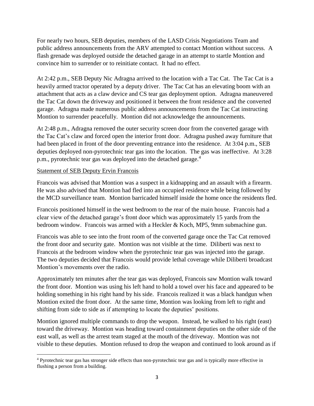For nearly two hours, SEB deputies, members of the LASD Crisis Negotiations Team and public address announcements from the ARV attempted to contact Montion without success. A flash grenade was deployed outside the detached garage in an attempt to startle Montion and convince him to surrender or to reinitiate contact. It had no effect.

At 2:42 p.m., SEB Deputy Nic Adragna arrived to the location with a Tac Cat. The Tac Cat is a heavily armed tractor operated by a deputy driver. The Tac Cat has an elevating boom with an attachment that acts as a claw device and CS tear gas deployment option. Adragna maneuvered the Tac Cat down the driveway and positioned it between the front residence and the converted garage. Adragna made numerous public address announcements from the Tac Cat instructing Montion to surrender peacefully. Montion did not acknowledge the announcements.

At 2:48 p.m., Adragna removed the outer security screen door from the converted garage with the Tac Cat's claw and forced open the interior front door. Adragna pushed away furniture that had been placed in front of the door preventing entrance into the residence. At 3:04 p.m., SEB deputies deployed non-pyrotechnic tear gas into the location. The gas was ineffective. At 3:28 p.m., pyrotechnic tear gas was deployed into the detached garage.<sup>4</sup>

## Statement of SEB Deputy Ervin Francois

Francois was advised that Montion was a suspect in a kidnapping and an assault with a firearm. He was also advised that Montion had fled into an occupied residence while being followed by the MCD surveillance team. Montion barricaded himself inside the home once the residents fled.

Francois positioned himself in the west bedroom to the rear of the main house. Francois had a clear view of the detached garage's front door which was approximately 15 yards from the bedroom window. Francois was armed with a Heckler & Koch, MP5, 9mm submachine gun.

Francois was able to see into the front room of the converted garage once the Tac Cat removed the front door and security gate. Montion was not visible at the time. Diliberti was next to Francois at the bedroom window when the pyrotechnic tear gas was injected into the garage. The two deputies decided that Francois would provide lethal coverage while Diliberti broadcast Montion's movements over the radio.

Approximately ten minutes after the tear gas was deployed, Francois saw Montion walk toward the front door. Montion was using his left hand to hold a towel over his face and appeared to be holding something in his right hand by his side. Francois realized it was a black handgun when Montion exited the front door. At the same time, Montion was looking from left to right and shifting from side to side as if attempting to locate the deputies' positions.

Montion ignored multiple commands to drop the weapon. Instead, he walked to his right (east) toward the driveway. Montion was heading toward containment deputies on the other side of the east wall, as well as the arrest team staged at the mouth of the driveway. Montion was not visible to these deputies. Montion refused to drop the weapon and continued to look around as if

<sup>4</sup> Pyrotechnic tear gas has stronger side effects than non-pyrotechnic tear gas and is typically more effective in flushing a person from a building.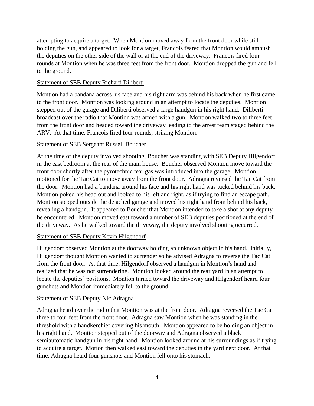attempting to acquire a target. When Montion moved away from the front door while still holding the gun, and appeared to look for a target, Francois feared that Montion would ambush the deputies on the other side of the wall or at the end of the driveway. Francois fired four rounds at Montion when he was three feet from the front door. Montion dropped the gun and fell to the ground.

#### Statement of SEB Deputy Richard Diliberti

Montion had a bandana across his face and his right arm was behind his back when he first came to the front door. Montion was looking around in an attempt to locate the deputies. Montion stepped out of the garage and Diliberti observed a large handgun in his right hand. Diliberti broadcast over the radio that Montion was armed with a gun. Montion walked two to three feet from the front door and headed toward the driveway leading to the arrest team staged behind the ARV. At that time, Francois fired four rounds, striking Montion.

#### Statement of SEB Sergeant Russell Boucher

At the time of the deputy involved shooting, Boucher was standing with SEB Deputy Hilgendorf in the east bedroom at the rear of the main house. Boucher observed Montion move toward the front door shortly after the pyrotechnic tear gas was introduced into the garage. Montion motioned for the Tac Cat to move away from the front door. Adragna reversed the Tac Cat from the door. Montion had a bandana around his face and his right hand was tucked behind his back. Montion poked his head out and looked to his left and right, as if trying to find an escape path. Montion stepped outside the detached garage and moved his right hand from behind his back, revealing a handgun. It appeared to Boucher that Montion intended to take a shot at any deputy he encountered. Montion moved east toward a number of SEB deputies positioned at the end of the driveway. As he walked toward the driveway, the deputy involved shooting occurred.

## Statement of SEB Deputy Kevin Hilgendorf

Hilgendorf observed Montion at the doorway holding an unknown object in his hand. Initially, Hilgendorf thought Montion wanted to surrender so he advised Adragna to reverse the Tac Cat from the front door. At that time, Hilgendorf observed a handgun in Montion's hand and realized that he was not surrendering. Montion looked around the rear yard in an attempt to locate the deputies' positions. Montion turned toward the driveway and Hilgendorf heard four gunshots and Montion immediately fell to the ground.

#### Statement of SEB Deputy Nic Adragna

Adragna heard over the radio that Montion was at the front door. Adragna reversed the Tac Cat three to four feet from the front door. Adragna saw Montion when he was standing in the threshold with a handkerchief covering his mouth. Montion appeared to be holding an object in his right hand. Montion stepped out of the doorway and Adragna observed a black semiautomatic handgun in his right hand. Montion looked around at his surroundings as if trying to acquire a target. Motion then walked east toward the deputies in the yard next door. At that time, Adragna heard four gunshots and Montion fell onto his stomach.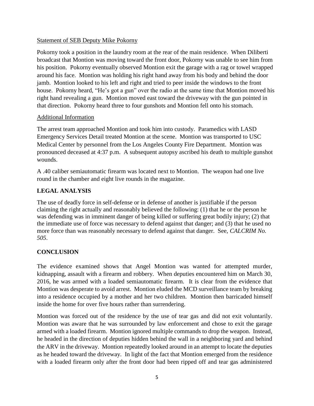#### Statement of SEB Deputy Mike Pokorny

Pokorny took a position in the laundry room at the rear of the main residence. When Diliberti broadcast that Montion was moving toward the front door, Pokorny was unable to see him from his position. Pokorny eventually observed Montion exit the garage with a rag or towel wrapped around his face. Montion was holding his right hand away from his body and behind the door jamb. Montion looked to his left and right and tried to peer inside the windows to the front house. Pokorny heard, "He's got a gun" over the radio at the same time that Montion moved his right hand revealing a gun. Montion moved east toward the driveway with the gun pointed in that direction. Pokorny heard three to four gunshots and Montion fell onto his stomach.

## Additional Information

The arrest team approached Montion and took him into custody. Paramedics with LASD Emergency Services Detail treated Montion at the scene. Montion was transported to USC Medical Center by personnel from the Los Angeles County Fire Department. Montion was pronounced deceased at 4:37 p.m. A subsequent autopsy ascribed his death to multiple gunshot wounds.

A .40 caliber semiautomatic firearm was located next to Montion. The weapon had one live round in the chamber and eight live rounds in the magazine.

## **LEGAL ANALYSIS**

The use of deadly force in self-defense or in defense of another is justifiable if the person claiming the right actually and reasonably believed the following: (1) that he or the person he was defending was in imminent danger of being killed or suffering great bodily injury; (2) that the immediate use of force was necessary to defend against that danger; and (3) that he used no more force than was reasonably necessary to defend against that danger. See, *CALCRIM No. 505*.

## **CONCLUSION**

The evidence examined shows that Angel Montion was wanted for attempted murder, kidnapping, assault with a firearm and robbery. When deputies encountered him on March 30, 2016, he was armed with a loaded semiautomatic firearm. It is clear from the evidence that Montion was desperate to avoid arrest. Montion eluded the MCD surveillance team by breaking into a residence occupied by a mother and her two children. Montion then barricaded himself inside the home for over five hours rather than surrendering.

Montion was forced out of the residence by the use of tear gas and did not exit voluntarily. Montion was aware that he was surrounded by law enforcement and chose to exit the garage armed with a loaded firearm. Montion ignored multiple commands to drop the weapon. Instead, he headed in the direction of deputies hidden behind the wall in a neighboring yard and behind the ARV in the driveway. Montion repeatedly looked around in an attempt to locate the deputies as he headed toward the driveway. In light of the fact that Montion emerged from the residence with a loaded firearm only after the front door had been ripped off and tear gas administered